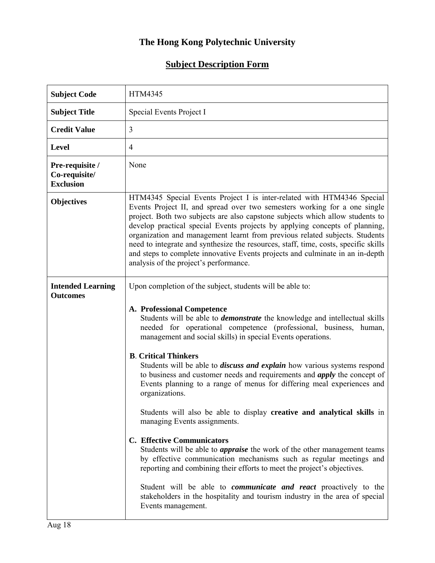## **The Hong Kong Polytechnic University**

## **Subject Description Form**

| <b>Subject Code</b>                                  | <b>HTM4345</b>                                                                                                                                                                                                                                                                                                                                                                                                                                                                                                                                                                                                       |
|------------------------------------------------------|----------------------------------------------------------------------------------------------------------------------------------------------------------------------------------------------------------------------------------------------------------------------------------------------------------------------------------------------------------------------------------------------------------------------------------------------------------------------------------------------------------------------------------------------------------------------------------------------------------------------|
| <b>Subject Title</b>                                 | Special Events Project I                                                                                                                                                                                                                                                                                                                                                                                                                                                                                                                                                                                             |
| <b>Credit Value</b>                                  | 3                                                                                                                                                                                                                                                                                                                                                                                                                                                                                                                                                                                                                    |
| <b>Level</b>                                         | $\overline{4}$                                                                                                                                                                                                                                                                                                                                                                                                                                                                                                                                                                                                       |
| Pre-requisite /<br>Co-requisite/<br><b>Exclusion</b> | None                                                                                                                                                                                                                                                                                                                                                                                                                                                                                                                                                                                                                 |
| <b>Objectives</b>                                    | HTM4345 Special Events Project I is inter-related with HTM4346 Special<br>Events Project II, and spread over two semesters working for a one single<br>project. Both two subjects are also capstone subjects which allow students to<br>develop practical special Events projects by applying concepts of planning,<br>organization and management learnt from previous related subjects. Students<br>need to integrate and synthesize the resources, staff, time, costs, specific skills<br>and steps to complete innovative Events projects and culminate in an in-depth<br>analysis of the project's performance. |
| <b>Intended Learning</b><br><b>Outcomes</b>          | Upon completion of the subject, students will be able to:<br>A. Professional Competence<br>Students will be able to <i>demonstrate</i> the knowledge and intellectual skills<br>needed for operational competence (professional, business, human,<br>management and social skills) in special Events operations.                                                                                                                                                                                                                                                                                                     |
|                                                      | <b>B.</b> Critical Thinkers<br>Students will be able to <i>discuss and explain</i> how various systems respond<br>to business and customer needs and requirements and <i>apply</i> the concept of<br>Events planning to a range of menus for differing meal experiences and<br>organizations.                                                                                                                                                                                                                                                                                                                        |
|                                                      | Students will also be able to display creative and analytical skills in<br>managing Events assignments.                                                                                                                                                                                                                                                                                                                                                                                                                                                                                                              |
|                                                      | <b>C.</b> Effective Communicators<br>Students will be able to <i>appraise</i> the work of the other management teams<br>by effective communication mechanisms such as regular meetings and<br>reporting and combining their efforts to meet the project's objectives.                                                                                                                                                                                                                                                                                                                                                |
|                                                      | Student will be able to <i>communicate and react</i> proactively to the<br>stakeholders in the hospitality and tourism industry in the area of special<br>Events management.                                                                                                                                                                                                                                                                                                                                                                                                                                         |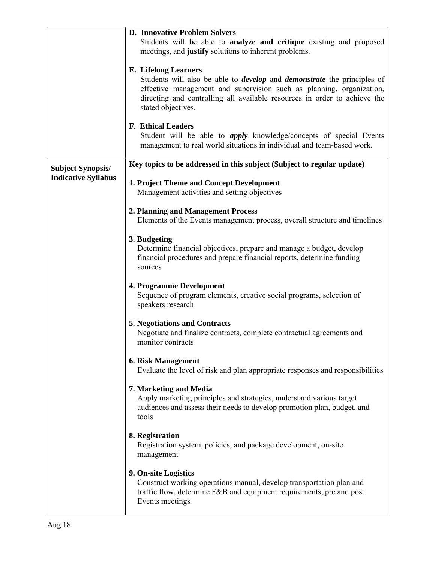|                            | <b>D. Innovative Problem Solvers</b>                                                                                                                                                                                                                                                            |
|----------------------------|-------------------------------------------------------------------------------------------------------------------------------------------------------------------------------------------------------------------------------------------------------------------------------------------------|
|                            | Students will be able to analyze and critique existing and proposed<br>meetings, and justify solutions to inherent problems.                                                                                                                                                                    |
|                            | <b>E.</b> Lifelong Learners<br>Students will also be able to <i>develop</i> and <i>demonstrate</i> the principles of<br>effective management and supervision such as planning, organization,<br>directing and controlling all available resources in order to achieve the<br>stated objectives. |
|                            | <b>F. Ethical Leaders</b><br>Student will be able to <i>apply</i> knowledge/concepts of special Events<br>management to real world situations in individual and team-based work.                                                                                                                |
| <b>Subject Synopsis/</b>   | Key topics to be addressed in this subject (Subject to regular update)                                                                                                                                                                                                                          |
| <b>Indicative Syllabus</b> | 1. Project Theme and Concept Development<br>Management activities and setting objectives                                                                                                                                                                                                        |
|                            | 2. Planning and Management Process<br>Elements of the Events management process, overall structure and timelines                                                                                                                                                                                |
|                            | 3. Budgeting<br>Determine financial objectives, prepare and manage a budget, develop<br>financial procedures and prepare financial reports, determine funding<br>sources                                                                                                                        |
|                            | <b>4. Programme Development</b><br>Sequence of program elements, creative social programs, selection of<br>speakers research                                                                                                                                                                    |
|                            | <b>5. Negotiations and Contracts</b><br>Negotiate and finalize contracts, complete contractual agreements and<br>monitor contracts                                                                                                                                                              |
|                            | <b>6. Risk Management</b><br>Evaluate the level of risk and plan appropriate responses and responsibilities                                                                                                                                                                                     |
|                            | 7. Marketing and Media<br>Apply marketing principles and strategies, understand various target<br>audiences and assess their needs to develop promotion plan, budget, and<br>tools                                                                                                              |
|                            | 8. Registration<br>Registration system, policies, and package development, on-site<br>management                                                                                                                                                                                                |
|                            | 9. On-site Logistics<br>Construct working operations manual, develop transportation plan and<br>traffic flow, determine F&B and equipment requirements, pre and post<br>Events meetings                                                                                                         |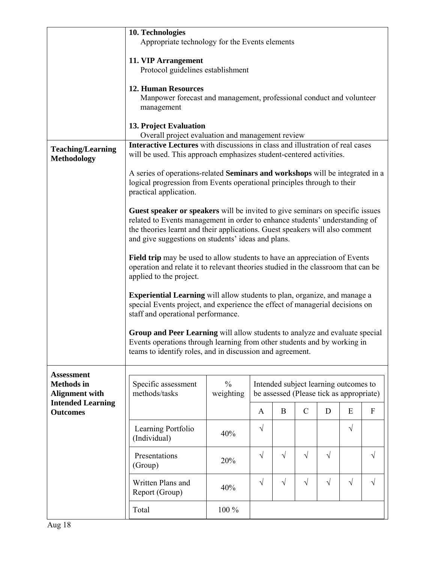|                                                                 | 10. Technologies<br>Appropriate technology for the Events elements                                                                                                                                                                                                                                 |                                                                                                        |            |           |               |           |           |                           |
|-----------------------------------------------------------------|----------------------------------------------------------------------------------------------------------------------------------------------------------------------------------------------------------------------------------------------------------------------------------------------------|--------------------------------------------------------------------------------------------------------|------------|-----------|---------------|-----------|-----------|---------------------------|
|                                                                 | 11. VIP Arrangement                                                                                                                                                                                                                                                                                |                                                                                                        |            |           |               |           |           |                           |
|                                                                 | Protocol guidelines establishment                                                                                                                                                                                                                                                                  |                                                                                                        |            |           |               |           |           |                           |
|                                                                 | <b>12. Human Resources</b><br>Manpower forecast and management, professional conduct and volunteer<br>management                                                                                                                                                                                   |                                                                                                        |            |           |               |           |           |                           |
|                                                                 | 13. Project Evaluation<br>Overall project evaluation and management review                                                                                                                                                                                                                         |                                                                                                        |            |           |               |           |           |                           |
| <b>Teaching/Learning</b><br><b>Methodology</b>                  | Interactive Lectures with discussions in class and illustration of real cases<br>will be used. This approach emphasizes student-centered activities.                                                                                                                                               |                                                                                                        |            |           |               |           |           |                           |
|                                                                 | A series of operations-related Seminars and workshops will be integrated in a<br>logical progression from Events operational principles through to their<br>practical application.                                                                                                                 |                                                                                                        |            |           |               |           |           |                           |
|                                                                 | Guest speaker or speakers will be invited to give seminars on specific issues<br>related to Events management in order to enhance students' understanding of<br>the theories learnt and their applications. Guest speakers will also comment<br>and give suggestions on students' ideas and plans. |                                                                                                        |            |           |               |           |           |                           |
|                                                                 | <b>Field trip</b> may be used to allow students to have an appreciation of Events<br>operation and relate it to relevant theories studied in the classroom that can be<br>applied to the project.                                                                                                  |                                                                                                        |            |           |               |           |           |                           |
|                                                                 | <b>Experiential Learning</b> will allow students to plan, organize, and manage a<br>special Events project, and experience the effect of managerial decisions on<br>staff and operational performance.                                                                                             |                                                                                                        |            |           |               |           |           |                           |
|                                                                 | Group and Peer Learning will allow students to analyze and evaluate special<br>Events operations through learning from other students and by working in<br>teams to identify roles, and in discussion and agreement.                                                                               |                                                                                                        |            |           |               |           |           |                           |
| <b>Assessment</b><br><b>Methods</b> in<br><b>Alignment with</b> | Specific assessment<br>methods/tasks                                                                                                                                                                                                                                                               | $\%$<br>Intended subject learning outcomes to<br>weighting<br>be assessed (Please tick as appropriate) |            |           |               |           |           |                           |
| <b>Intended Learning</b><br><b>Outcomes</b>                     |                                                                                                                                                                                                                                                                                                    |                                                                                                        | A          | $\bf{B}$  | $\mathcal{C}$ | D         | E         | $\boldsymbol{\mathrm{F}}$ |
|                                                                 | Learning Portfolio<br>(Individual)                                                                                                                                                                                                                                                                 | 40%                                                                                                    | $\sqrt{}$  |           |               |           | $\sqrt{}$ |                           |
|                                                                 | Presentations<br>(Group)                                                                                                                                                                                                                                                                           | 20%                                                                                                    | $\sqrt{ }$ | $\sqrt{}$ | $\sqrt{}$     | $\sqrt{}$ |           | $\sqrt{}$                 |
|                                                                 | Written Plans and<br>Report (Group)                                                                                                                                                                                                                                                                | 40%                                                                                                    | $\sqrt{ }$ | $\sqrt{}$ | $\sqrt{}$     | $\sqrt{}$ | $\sqrt{}$ | $\sqrt{}$                 |
|                                                                 | Total                                                                                                                                                                                                                                                                                              | 100 %                                                                                                  |            |           |               |           |           |                           |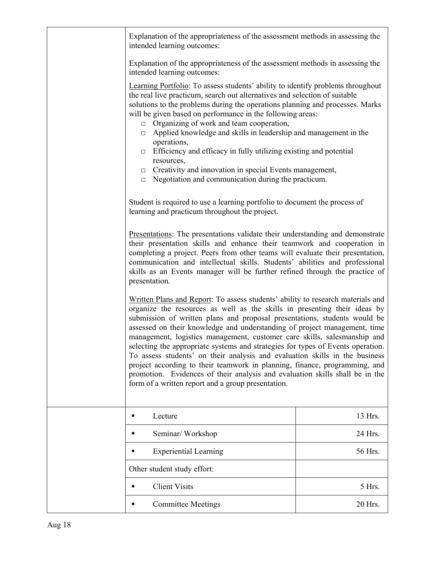| Explanation of the appropriateness of the assessment methods in assessing the<br>intended learning outcomes:                                                                                                                                                                                                                                                                                                                                                                                                                                                                                                                                                                                                                                                                             |         |  |  |
|------------------------------------------------------------------------------------------------------------------------------------------------------------------------------------------------------------------------------------------------------------------------------------------------------------------------------------------------------------------------------------------------------------------------------------------------------------------------------------------------------------------------------------------------------------------------------------------------------------------------------------------------------------------------------------------------------------------------------------------------------------------------------------------|---------|--|--|
| Explanation of the appropriateness of the assessment methods in assessing the<br>intended learning outcomes:                                                                                                                                                                                                                                                                                                                                                                                                                                                                                                                                                                                                                                                                             |         |  |  |
| <b>Learning Portfolio</b> : To assess students' ability to identify problems throughout<br>the real live practicum, search out alternatives and selection of suitable<br>solutions to the problems during the operations planning and processes. Marks<br>will be given based on performance in the following areas:<br>Organizing of work and team cooperation,<br>$\Box$<br>Applied knowledge and skills in leadership and management in the<br>$\Box$<br>operations,<br>Efficiency and efficacy in fully utilizing existing and potential<br>$\Box$<br>resources,<br>$\Box$ Creativity and innovation in special Events management,<br>Negotiation and communication during the practicum.<br>$\Box$                                                                                  |         |  |  |
| Student is required to use a learning portfolio to document the process of<br>learning and practicum throughout the project.                                                                                                                                                                                                                                                                                                                                                                                                                                                                                                                                                                                                                                                             |         |  |  |
| Presentations: The presentations validate their understanding and demonstrate<br>their presentation skills and enhance their teamwork and cooperation in<br>completing a project. Peers from other teams will evaluate their presentation,<br>communication and intellectual skills. Students' abilities and professional<br>skills as an Events manager will be further refined through the practice of<br>presentation.                                                                                                                                                                                                                                                                                                                                                                |         |  |  |
| Written Plans and Report: To assess students' ability to research materials and<br>organize the resources as well as the skills in presenting their ideas by<br>submission of written plans and proposal presentations, students would be<br>assessed on their knowledge and understanding of project management, time<br>management, logistics management, customer care skills, salesmanship and<br>selecting the appropriate systems and strategies for types of Events operation.<br>To assess students' on their analysis and evaluation skills in the business<br>project according to their teamwork in planning, finance, programming, and<br>promotion. Evidences of their analysis and evaluation skills shall be in the<br>form of a written report and a group presentation. |         |  |  |
| Lecture                                                                                                                                                                                                                                                                                                                                                                                                                                                                                                                                                                                                                                                                                                                                                                                  | 13 Hrs. |  |  |
| Seminar/Workshop                                                                                                                                                                                                                                                                                                                                                                                                                                                                                                                                                                                                                                                                                                                                                                         | 24 Hrs. |  |  |
| <b>Experiential Learning</b>                                                                                                                                                                                                                                                                                                                                                                                                                                                                                                                                                                                                                                                                                                                                                             | 56 Hrs. |  |  |
| Other student study effort:                                                                                                                                                                                                                                                                                                                                                                                                                                                                                                                                                                                                                                                                                                                                                              |         |  |  |
| <b>Client Visits</b>                                                                                                                                                                                                                                                                                                                                                                                                                                                                                                                                                                                                                                                                                                                                                                     | 5 Hrs.  |  |  |
| <b>Committee Meetings</b><br>п                                                                                                                                                                                                                                                                                                                                                                                                                                                                                                                                                                                                                                                                                                                                                           | 20 Hrs. |  |  |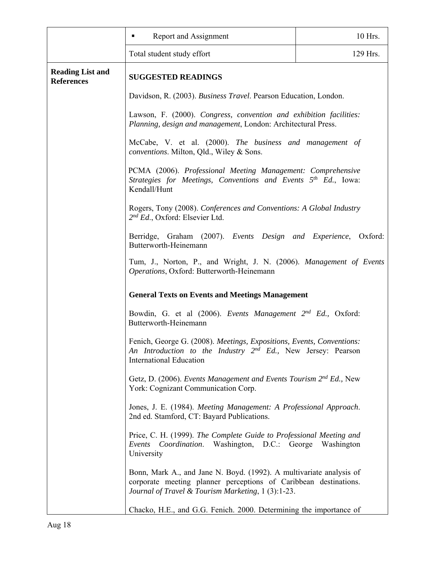|                                              | Report and Assignment                                                                                                                                                                         | 10 Hrs.  |  |  |
|----------------------------------------------|-----------------------------------------------------------------------------------------------------------------------------------------------------------------------------------------------|----------|--|--|
|                                              | Total student study effort                                                                                                                                                                    | 129 Hrs. |  |  |
| <b>Reading List and</b><br><b>References</b> | <b>SUGGESTED READINGS</b>                                                                                                                                                                     |          |  |  |
|                                              | Davidson, R. (2003). Business Travel. Pearson Education, London.                                                                                                                              |          |  |  |
|                                              | Lawson, F. (2000). Congress, convention and exhibition facilities:<br>Planning, design and management, London: Architectural Press.                                                           |          |  |  |
|                                              | McCabe, V. et al. (2000). The business and management of<br><i>conventions.</i> Milton, Qld., Wiley & Sons.                                                                                   |          |  |  |
|                                              | PCMA (2006). Professional Meeting Management: Comprehensive<br>Strategies for Meetings, Conventions and Events 5 <sup>th</sup> Ed., Iowa:<br>Kendall/Hunt                                     |          |  |  |
|                                              | Rogers, Tony (2008). Conferences and Conventions: A Global Industry<br>$2^{nd} Ed.$ , Oxford: Elsevier Ltd.                                                                                   |          |  |  |
|                                              | Berridge, Graham (2007). Events Design and Experience, Oxford:<br>Butterworth-Heinemann                                                                                                       |          |  |  |
|                                              | Tum, J., Norton, P., and Wright, J. N. (2006). Management of Events<br>Operations, Oxford: Butterworth-Heinemann                                                                              |          |  |  |
|                                              | <b>General Texts on Events and Meetings Management</b><br>Bowdin, G. et al (2006). Events Management 2 <sup>nd</sup> Ed., Oxford:<br>Butterworth-Heinemann                                    |          |  |  |
|                                              |                                                                                                                                                                                               |          |  |  |
|                                              | Fenich, George G. (2008). Meetings, Expositions, Events, Conventions:<br>An Introduction to the Industry $2^{nd}$ Ed., New Jersey: Pearson<br><b>International Education</b>                  |          |  |  |
|                                              | Getz, D. (2006). Events Management and Events Tourism $2^{nd}$ Ed., New<br>York: Cognizant Communication Corp.                                                                                |          |  |  |
|                                              | Jones, J. E. (1984). Meeting Management: A Professional Approach.<br>2nd ed. Stamford, CT: Bayard Publications.                                                                               |          |  |  |
|                                              | Price, C. H. (1999). The Complete Guide to Professional Meeting and<br>Events Coordination. Washington, D.C.: George Washington<br>University                                                 |          |  |  |
|                                              | Bonn, Mark A., and Jane N. Boyd. (1992). A multivariate analysis of<br>corporate meeting planner perceptions of Caribbean destinations.<br>Journal of Travel & Tourism Marketing, 1 (3):1-23. |          |  |  |
|                                              | Chacko, H.E., and G.G. Fenich. 2000. Determining the importance of                                                                                                                            |          |  |  |